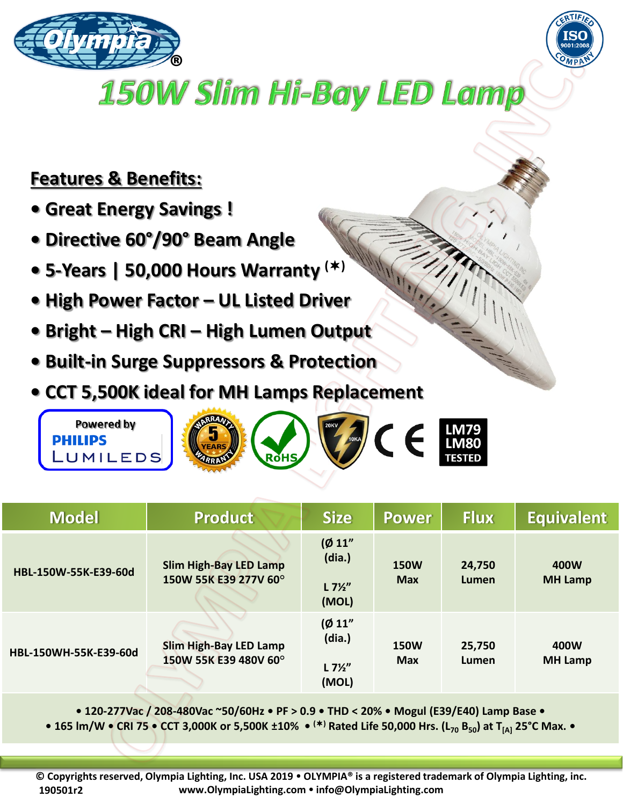



## 150W Slim Hi-Bay LED Lamp

## **Features & Benefits:**

- **Great Energy Savings !**
- **Directive 60°/90° Beam Angle**
- **5-Years | 50,000 Hours Warranty ()**
- **High Power Factor – UL Listed Driver**
- **Bright – High CRI – High Lumen Output**
- **Built-in Surge Suppressors & Protection**
- **CCT 5,500K ideal for MH Lamps Replacement**



| <b>Model</b>          | <b>Product</b>                                         | <b>Size</b>                                   | <b>Power</b>              | <b>Flux</b>     | <b>Equivalent</b>      |
|-----------------------|--------------------------------------------------------|-----------------------------------------------|---------------------------|-----------------|------------------------|
| HBL-150W-55K-E39-60d  | <b>Slim High-Bay LED Lamp</b><br>150W 55K E39 277V 60° | (Ø 11"<br>(dia.)<br>$L7\frac{1}{2}$<br>(MOL)  | <b>150W</b><br><b>Max</b> | 24,750<br>Lumen | 400W<br><b>MH Lamp</b> |
| HBL-150WH-55K-E39-60d | <b>Slim High-Bay LED Lamp</b><br>150W 55K E39 480V 60° | (Ø 11"<br>(dia.)<br>$L 7\frac{1}{2}$<br>(MOL) | <b>150W</b><br><b>Max</b> | 25,750<br>Lumen | 400W<br><b>MH Lamp</b> |

**• 120-277Vac / 208-480Vac ~50/60Hz • PF > 0.9 • THD < 20% • Mogul (E39/E40) Lamp Base •**

**• 165 lm/W • CRI 75 • CCT 3,000K or 5,500K ±10% • () Rated Life 50,000 Hrs. (L<sup>70</sup> B50) at T[A] 25°C Max. •**

**© Copyrights reserved, Olympia Lighting, Inc. USA 2019 OLYMPIA® is a registered trademark of Olympia Lighting, inc. www.OlympiaLighting.com info@OlympiaLighting.com 190501r2**